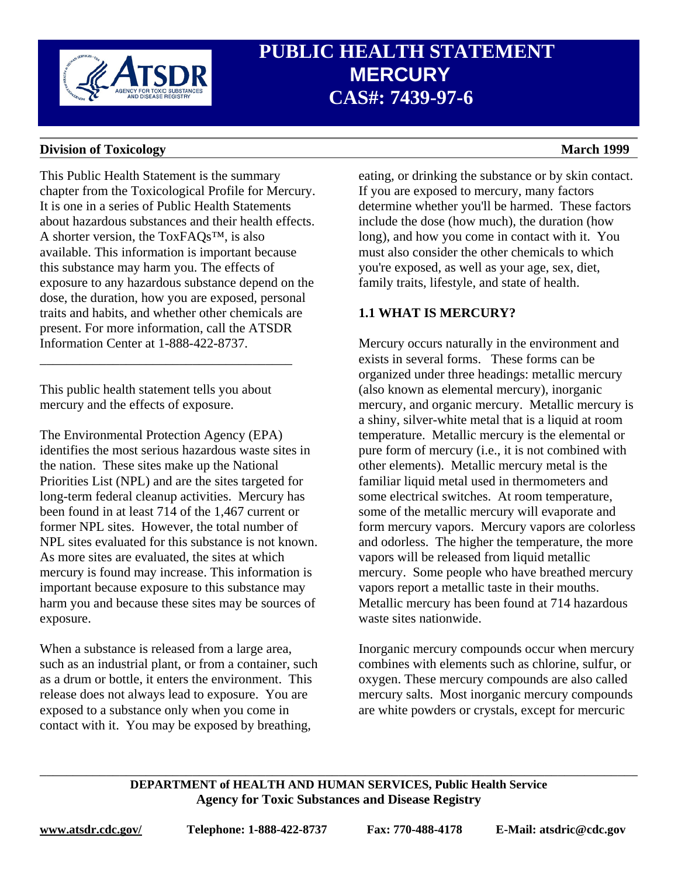

### **Division of Toxicology** March 1999 **March 1999**

This Public Health Statement is the summary chapter from the Toxicological Profile for Mercury. It is one in a series of Public Health Statements about hazardous substances and their health effects. A shorter version, the ToxFAQs™, is also available. This information is important because this substance may harm you. The effects of exposure to any hazardous substance depend on the dose, the duration, how you are exposed, personal traits and habits, and whether other chemicals are present. For more information, call the ATSDR Information Center at 1-888-422-8737.

This public health statement tells you about mercury and the effects of exposure.

\_\_\_\_\_\_\_\_\_\_\_\_\_\_\_\_\_\_\_\_\_\_\_\_\_\_\_\_\_\_\_\_\_\_\_\_\_\_

The Environmental Protection Agency (EPA) identifies the most serious hazardous waste sites in the nation. These sites make up the National Priorities List (NPL) and are the sites targeted for long-term federal cleanup activities. Mercury has been found in at least 714 of the 1,467 current or former NPL sites. However, the total number of NPL sites evaluated for this substance is not known. As more sites are evaluated, the sites at which mercury is found may increase. This information is important because exposure to this substance may harm you and because these sites may be sources of exposure.

When a substance is released from a large area, such as an industrial plant, or from a container, such as a drum or bottle, it enters the environment. This release does not always lead to exposure. You are exposed to a substance only when you come in contact with it. You may be exposed by breathing,

eating, or drinking the substance or by skin contact. If you are exposed to mercury, many factors determine whether you'll be harmed. These factors include the dose (how much), the duration (how long), and how you come in contact with it. You must also consider the other chemicals to which you're exposed, as well as your age, sex, diet, family traits, lifestyle, and state of health.

### **1.1 WHAT IS MERCURY?**

Mercury occurs naturally in the environment and exists in several forms. These forms can be organized under three headings: metallic mercury (also known as elemental mercury), inorganic mercury, and organic mercury. Metallic mercury is a shiny, silver-white metal that is a liquid at room temperature. Metallic mercury is the elemental or pure form of mercury (i.e., it is not combined with other elements). Metallic mercury metal is the familiar liquid metal used in thermometers and some electrical switches. At room temperature, some of the metallic mercury will evaporate and form mercury vapors. Mercury vapors are colorless and odorless. The higher the temperature, the more vapors will be released from liquid metallic mercury. Some people who have breathed mercury vapors report a metallic taste in their mouths. Metallic mercury has been found at 714 hazardous waste sites nationwide.

Inorganic mercury compounds occur when mercury combines with elements such as chlorine, sulfur, or oxygen. These mercury compounds are also called mercury salts. Most inorganic mercury compounds are white powders or crystals, except for mercuric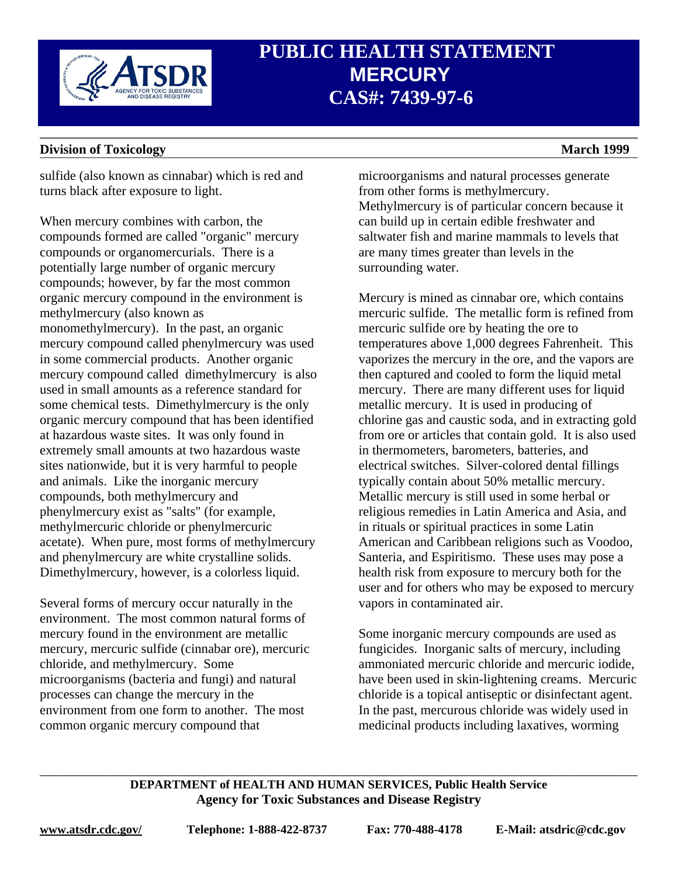

### **Division of Toxicology** March 1999 **March 1999**

sulfide (also known as cinnabar) which is red and turns black after exposure to light.

When mercury combines with carbon, the compounds formed are called "organic" mercury compounds or organomercurials. There is a potentially large number of organic mercury compounds; however, by far the most common organic mercury compound in the environment is methylmercury (also known as monomethylmercury). In the past, an organic mercury compound called phenylmercury was used in some commercial products. Another organic mercury compound called dimethylmercury is also used in small amounts as a reference standard for some chemical tests. Dimethylmercury is the only organic mercury compound that has been identified at hazardous waste sites. It was only found in extremely small amounts at two hazardous waste sites nationwide, but it is very harmful to people and animals. Like the inorganic mercury compounds, both methylmercury and phenylmercury exist as "salts" (for example, methylmercuric chloride or phenylmercuric acetate). When pure, most forms of methylmercury and phenylmercury are white crystalline solids. Dimethylmercury, however, is a colorless liquid.

Several forms of mercury occur naturally in the environment. The most common natural forms of mercury found in the environment are metallic mercury, mercuric sulfide (cinnabar ore), mercuric chloride, and methylmercury. Some microorganisms (bacteria and fungi) and natural processes can change the mercury in the environment from one form to another. The most common organic mercury compound that

microorganisms and natural processes generate from other forms is methylmercury. Methylmercury is of particular concern because it can build up in certain edible freshwater and saltwater fish and marine mammals to levels that are many times greater than levels in the surrounding water.

Mercury is mined as cinnabar ore, which contains mercuric sulfide. The metallic form is refined from mercuric sulfide ore by heating the ore to temperatures above 1,000 degrees Fahrenheit. This vaporizes the mercury in the ore, and the vapors are then captured and cooled to form the liquid metal mercury. There are many different uses for liquid metallic mercury. It is used in producing of chlorine gas and caustic soda, and in extracting gold from ore or articles that contain gold. It is also used in thermometers, barometers, batteries, and electrical switches. Silver-colored dental fillings typically contain about 50% metallic mercury. Metallic mercury is still used in some herbal or religious remedies in Latin America and Asia, and in rituals or spiritual practices in some Latin American and Caribbean religions such as Voodoo, Santeria, and Espiritismo. These uses may pose a health risk from exposure to mercury both for the user and for others who may be exposed to mercury vapors in contaminated air.

Some inorganic mercury compounds are used as fungicides. Inorganic salts of mercury, including ammoniated mercuric chloride and mercuric iodide, have been used in skin-lightening creams. Mercuric chloride is a topical antiseptic or disinfectant agent. In the past, mercurous chloride was widely used in medicinal products including laxatives, worming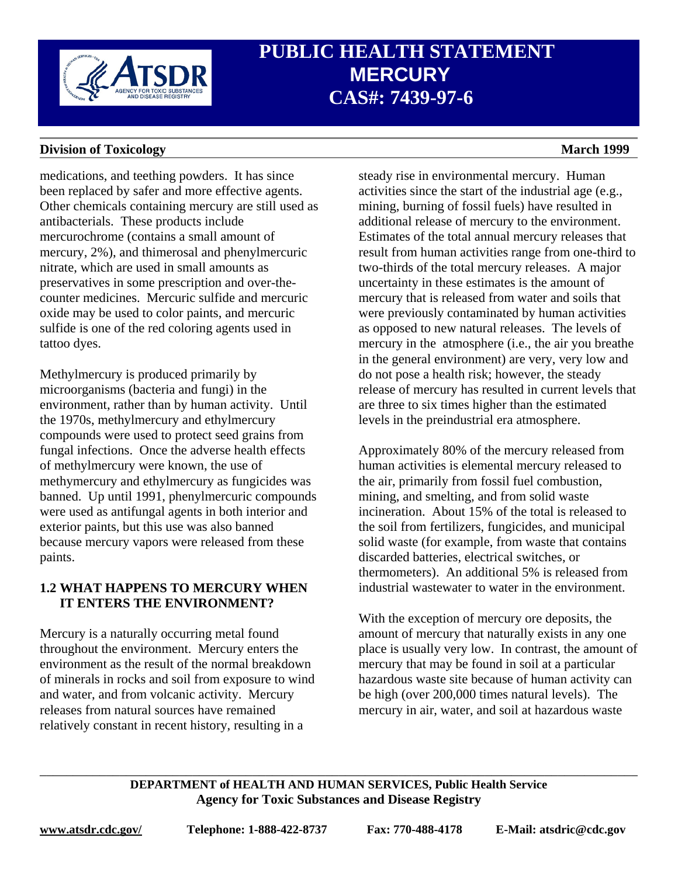

### **Division of Toxicology** March 1999 **March 1999**

medications, and teething powders. It has since been replaced by safer and more effective agents. Other chemicals containing mercury are still used as antibacterials. These products include mercurochrome (contains a small amount of mercury, 2%), and thimerosal and phenylmercuric nitrate, which are used in small amounts as preservatives in some prescription and over-thecounter medicines. Mercuric sulfide and mercuric oxide may be used to color paints, and mercuric sulfide is one of the red coloring agents used in tattoo dyes.

Methylmercury is produced primarily by microorganisms (bacteria and fungi) in the environment, rather than by human activity. Until the 1970s, methylmercury and ethylmercury compounds were used to protect seed grains from fungal infections. Once the adverse health effects of methylmercury were known, the use of methymercury and ethylmercury as fungicides was banned. Up until 1991, phenylmercuric compounds were used as antifungal agents in both interior and exterior paints, but this use was also banned because mercury vapors were released from these paints.

### **1.2 WHAT HAPPENS TO MERCURY WHEN IT ENTERS THE ENVIRONMENT?**

Mercury is a naturally occurring metal found throughout the environment. Mercury enters the environment as the result of the normal breakdown of minerals in rocks and soil from exposure to wind and water, and from volcanic activity. Mercury releases from natural sources have remained relatively constant in recent history, resulting in a

steady rise in environmental mercury. Human activities since the start of the industrial age (e.g., mining, burning of fossil fuels) have resulted in additional release of mercury to the environment. Estimates of the total annual mercury releases that result from human activities range from one-third to two-thirds of the total mercury releases. A major uncertainty in these estimates is the amount of mercury that is released from water and soils that were previously contaminated by human activities as opposed to new natural releases. The levels of mercury in the atmosphere (i.e., the air you breathe in the general environment) are very, very low and do not pose a health risk; however, the steady release of mercury has resulted in current levels that are three to six times higher than the estimated levels in the preindustrial era atmosphere.

Approximately 80% of the mercury released from human activities is elemental mercury released to the air, primarily from fossil fuel combustion, mining, and smelting, and from solid waste incineration. About 15% of the total is released to the soil from fertilizers, fungicides, and municipal solid waste (for example, from waste that contains discarded batteries, electrical switches, or thermometers). An additional 5% is released from industrial wastewater to water in the environment.

With the exception of mercury ore deposits, the amount of mercury that naturally exists in any one place is usually very low. In contrast, the amount of mercury that may be found in soil at a particular hazardous waste site because of human activity can be high (over 200,000 times natural levels). The mercury in air, water, and soil at hazardous waste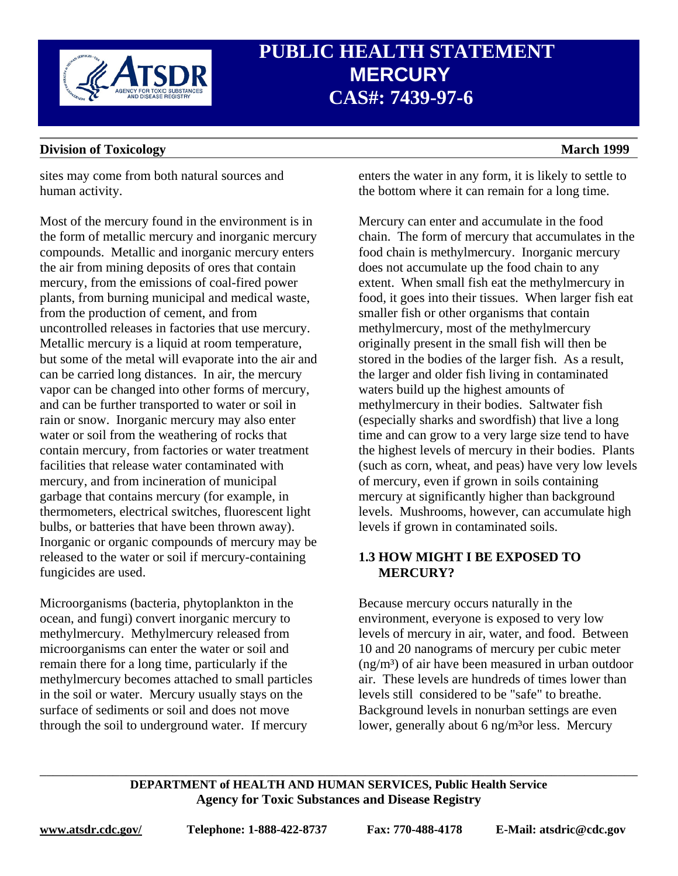

### **Division of Toxicology March 1999**

sites may come from both natural sources and human activity.

Most of the mercury found in the environment is in the form of metallic mercury and inorganic mercury compounds. Metallic and inorganic mercury enters the air from mining deposits of ores that contain mercury, from the emissions of coal-fired power plants, from burning municipal and medical waste, from the production of cement, and from uncontrolled releases in factories that use mercury. Metallic mercury is a liquid at room temperature, but some of the metal will evaporate into the air and can be carried long distances. In air, the mercury vapor can be changed into other forms of mercury, and can be further transported to water or soil in rain or snow. Inorganic mercury may also enter water or soil from the weathering of rocks that contain mercury, from factories or water treatment facilities that release water contaminated with mercury, and from incineration of municipal garbage that contains mercury (for example, in thermometers, electrical switches, fluorescent light bulbs, or batteries that have been thrown away). Inorganic or organic compounds of mercury may be released to the water or soil if mercury-containing fungicides are used.

Microorganisms (bacteria, phytoplankton in the ocean, and fungi) convert inorganic mercury to methylmercury. Methylmercury released from microorganisms can enter the water or soil and remain there for a long time, particularly if the methylmercury becomes attached to small particles in the soil or water. Mercury usually stays on the surface of sediments or soil and does not move through the soil to underground water. If mercury

enters the water in any form, it is likely to settle to the bottom where it can remain for a long time.

Mercury can enter and accumulate in the food chain. The form of mercury that accumulates in the food chain is methylmercury. Inorganic mercury does not accumulate up the food chain to any extent. When small fish eat the methylmercury in food, it goes into their tissues. When larger fish eat smaller fish or other organisms that contain methylmercury, most of the methylmercury originally present in the small fish will then be stored in the bodies of the larger fish. As a result, the larger and older fish living in contaminated waters build up the highest amounts of methylmercury in their bodies. Saltwater fish (especially sharks and swordfish) that live a long time and can grow to a very large size tend to have the highest levels of mercury in their bodies. Plants (such as corn, wheat, and peas) have very low levels of mercury, even if grown in soils containing mercury at significantly higher than background levels. Mushrooms, however, can accumulate high levels if grown in contaminated soils.

### **1.3 HOW MIGHT I BE EXPOSED TO MERCURY?**

Because mercury occurs naturally in the environment, everyone is exposed to very low levels of mercury in air, water, and food. Between 10 and 20 nanograms of mercury per cubic meter  $(np/m<sup>3</sup>)$  of air have been measured in urban outdoor air. These levels are hundreds of times lower than levels still considered to be "safe" to breathe. Background levels in nonurban settings are even lower, generally about 6 ng/m<sup>3</sup>or less. Mercury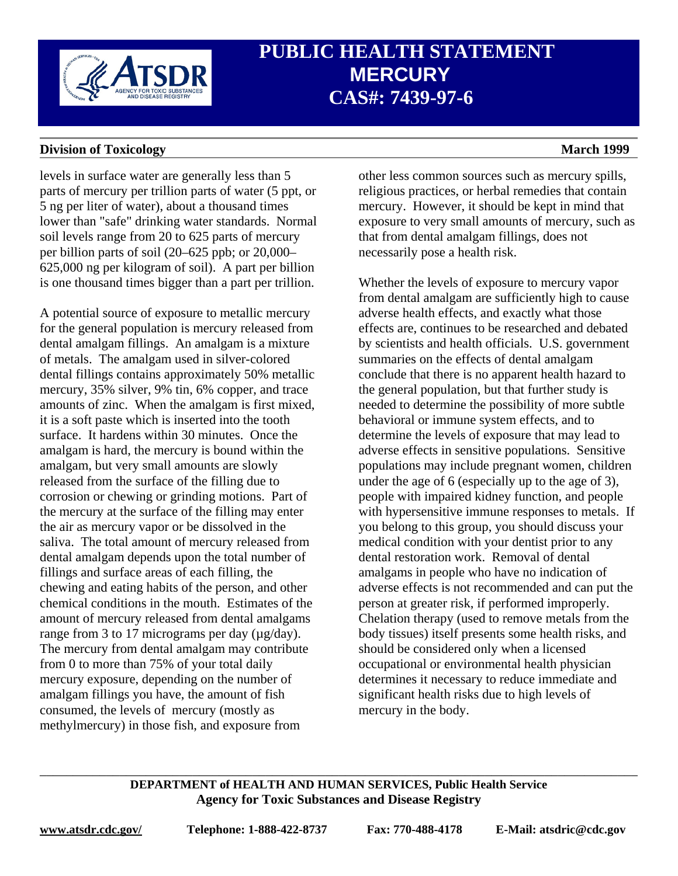

### **Division of Toxicology March 1999**

levels in surface water are generally less than 5 parts of mercury per trillion parts of water (5 ppt, or 5 ng per liter of water), about a thousand times lower than "safe" drinking water standards. Normal soil levels range from 20 to 625 parts of mercury per billion parts of soil (20–625 ppb; or 20,000– 625,000 ng per kilogram of soil). A part per billion is one thousand times bigger than a part per trillion.

A potential source of exposure to metallic mercury for the general population is mercury released from dental amalgam fillings. An amalgam is a mixture of metals. The amalgam used in silver-colored dental fillings contains approximately 50% metallic mercury, 35% silver, 9% tin, 6% copper, and trace amounts of zinc. When the amalgam is first mixed, it is a soft paste which is inserted into the tooth surface. It hardens within 30 minutes. Once the amalgam is hard, the mercury is bound within the amalgam, but very small amounts are slowly released from the surface of the filling due to corrosion or chewing or grinding motions. Part of the mercury at the surface of the filling may enter the air as mercury vapor or be dissolved in the saliva. The total amount of mercury released from dental amalgam depends upon the total number of fillings and surface areas of each filling, the chewing and eating habits of the person, and other chemical conditions in the mouth. Estimates of the amount of mercury released from dental amalgams range from 3 to 17 micrograms per day (µg/day). The mercury from dental amalgam may contribute from 0 to more than 75% of your total daily mercury exposure, depending on the number of amalgam fillings you have, the amount of fish consumed, the levels of mercury (mostly as methylmercury) in those fish, and exposure from

other less common sources such as mercury spills, religious practices, or herbal remedies that contain mercury. However, it should be kept in mind that exposure to very small amounts of mercury, such as that from dental amalgam fillings, does not necessarily pose a health risk.

Whether the levels of exposure to mercury vapor from dental amalgam are sufficiently high to cause adverse health effects, and exactly what those effects are, continues to be researched and debated by scientists and health officials. U.S. government summaries on the effects of dental amalgam conclude that there is no apparent health hazard to the general population, but that further study is needed to determine the possibility of more subtle behavioral or immune system effects, and to determine the levels of exposure that may lead to adverse effects in sensitive populations. Sensitive populations may include pregnant women, children under the age of 6 (especially up to the age of 3), people with impaired kidney function, and people with hypersensitive immune responses to metals. If you belong to this group, you should discuss your medical condition with your dentist prior to any dental restoration work. Removal of dental amalgams in people who have no indication of adverse effects is not recommended and can put the person at greater risk, if performed improperly. Chelation therapy (used to remove metals from the body tissues) itself presents some health risks, and should be considered only when a licensed occupational or environmental health physician determines it necessary to reduce immediate and significant health risks due to high levels of mercury in the body.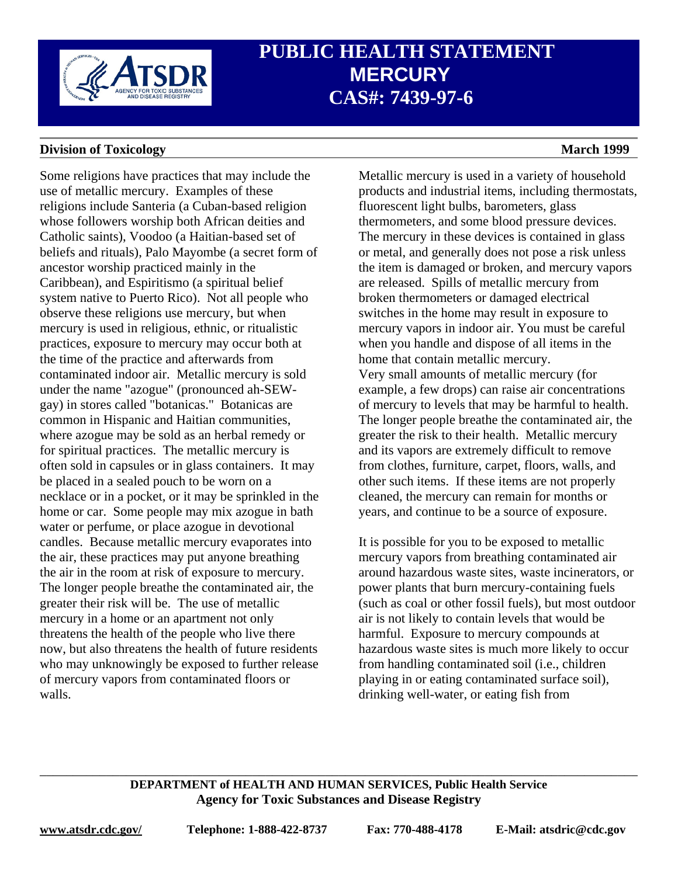

### **Division of Toxicology March 1999**

Some religions have practices that may include the use of metallic mercury. Examples of these religions include Santeria (a Cuban-based religion whose followers worship both African deities and Catholic saints), Voodoo (a Haitian-based set of beliefs and rituals), Palo Mayombe (a secret form of ancestor worship practiced mainly in the Caribbean), and Espiritismo (a spiritual belief system native to Puerto Rico). Not all people who observe these religions use mercury, but when mercury is used in religious, ethnic, or ritualistic practices, exposure to mercury may occur both at the time of the practice and afterwards from contaminated indoor air. Metallic mercury is sold under the name "azogue" (pronounced ah-SEWgay) in stores called "botanicas." Botanicas are common in Hispanic and Haitian communities, where azogue may be sold as an herbal remedy or for spiritual practices. The metallic mercury is often sold in capsules or in glass containers. It may be placed in a sealed pouch to be worn on a necklace or in a pocket, or it may be sprinkled in the home or car. Some people may mix azogue in bath water or perfume, or place azogue in devotional candles. Because metallic mercury evaporates into the air, these practices may put anyone breathing the air in the room at risk of exposure to mercury. The longer people breathe the contaminated air, the greater their risk will be. The use of metallic mercury in a home or an apartment not only threatens the health of the people who live there now, but also threatens the health of future residents who may unknowingly be exposed to further release of mercury vapors from contaminated floors or walls.

Metallic mercury is used in a variety of household products and industrial items, including thermostats, fluorescent light bulbs, barometers, glass thermometers, and some blood pressure devices. The mercury in these devices is contained in glass or metal, and generally does not pose a risk unless the item is damaged or broken, and mercury vapors are released. Spills of metallic mercury from broken thermometers or damaged electrical switches in the home may result in exposure to mercury vapors in indoor air. You must be careful when you handle and dispose of all items in the home that contain metallic mercury. Very small amounts of metallic mercury (for example, a few drops) can raise air concentrations of mercury to levels that may be harmful to health. The longer people breathe the contaminated air, the greater the risk to their health. Metallic mercury and its vapors are extremely difficult to remove from clothes, furniture, carpet, floors, walls, and other such items. If these items are not properly cleaned, the mercury can remain for months or years, and continue to be a source of exposure.

 drinking well-water, or eating fish from It is possible for you to be exposed to metallic mercury vapors from breathing contaminated air around hazardous waste sites, waste incinerators, or power plants that burn mercury-containing fuels (such as coal or other fossil fuels), but most outdoor air is not likely to contain levels that would be harmful. Exposure to mercury compounds at hazardous waste sites is much more likely to occur from handling contaminated soil (i.e., children playing in or eating contaminated surface soil),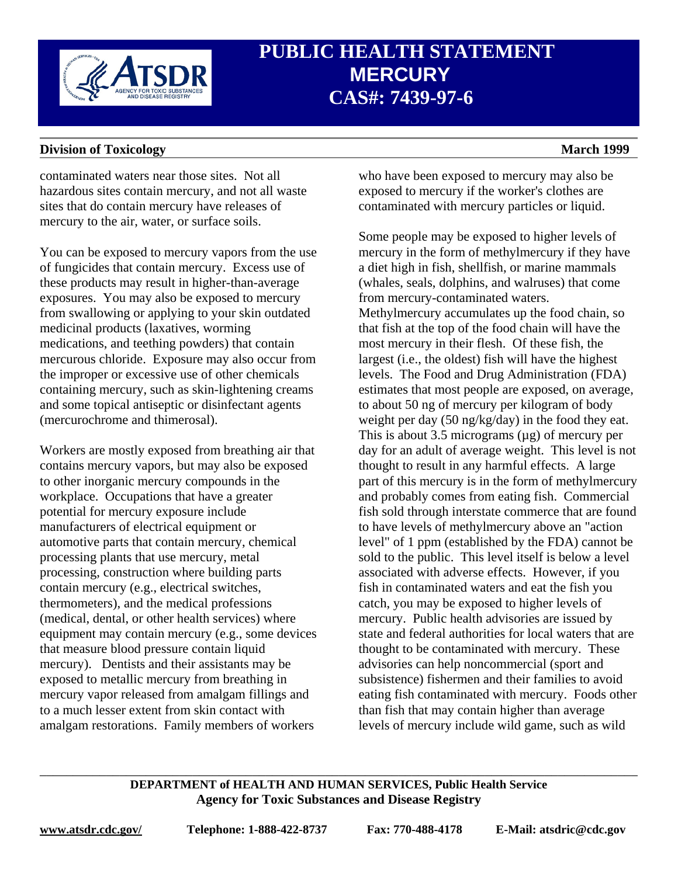

### **Division of Toxicology** March 1999 **March 1999**

contaminated waters near those sites. Not all hazardous sites contain mercury, and not all waste sites that do contain mercury have releases of mercury to the air, water, or surface soils.

containing mercury, such as skin-lightening creams You can be exposed to mercury vapors from the use of fungicides that contain mercury. Excess use of these products may result in higher-than-average exposures. You may also be exposed to mercury from swallowing or applying to your skin outdated medicinal products (laxatives, worming medications, and teething powders) that contain mercurous chloride. Exposure may also occur from the improper or excessive use of other chemicals and some topical antiseptic or disinfectant agents (mercurochrome and thimerosal).

Workers are mostly exposed from breathing air that contains mercury vapors, but may also be exposed to other inorganic mercury compounds in the workplace. Occupations that have a greater potential for mercury exposure include manufacturers of electrical equipment or automotive parts that contain mercury, chemical processing plants that use mercury, metal processing, construction where building parts contain mercury (e.g., electrical switches, thermometers), and the medical professions (medical, dental, or other health services) where equipment may contain mercury (e.g., some devices that measure blood pressure contain liquid mercury). Dentists and their assistants may be exposed to metallic mercury from breathing in mercury vapor released from amalgam fillings and to a much lesser extent from skin contact with amalgam restorations. Family members of workers

who have been exposed to mercury may also be exposed to mercury if the worker's clothes are contaminated with mercury particles or liquid.

Some people may be exposed to higher levels of mercury in the form of methylmercury if they have a diet high in fish, shellfish, or marine mammals (whales, seals, dolphins, and walruses) that come from mercury-contaminated waters. Methylmercury accumulates up the food chain, so that fish at the top of the food chain will have the most mercury in their flesh. Of these fish, the largest (i.e., the oldest) fish will have the highest levels. The Food and Drug Administration (FDA) estimates that most people are exposed, on average, to about 50 ng of mercury per kilogram of body weight per day (50 ng/kg/day) in the food they eat. This is about 3.5 micrograms  $(\mu g)$  of mercury per day for an adult of average weight. This level is not thought to result in any harmful effects. A large part of this mercury is in the form of methylmercury and probably comes from eating fish. Commercial fish sold through interstate commerce that are found to have levels of methylmercury above an "action level" of 1 ppm (established by the FDA) cannot be sold to the public. This level itself is below a level associated with adverse effects. However, if you fish in contaminated waters and eat the fish you catch, you may be exposed to higher levels of mercury. Public health advisories are issued by state and federal authorities for local waters that are thought to be contaminated with mercury. These advisories can help noncommercial (sport and subsistence) fishermen and their families to avoid eating fish contaminated with mercury. Foods other than fish that may contain higher than average levels of mercury include wild game, such as wild

### **DEPARTMENT of HEALTH AND HUMAN SERVICES, Public Health Service Agency for Toxic Substances and Disease Registry**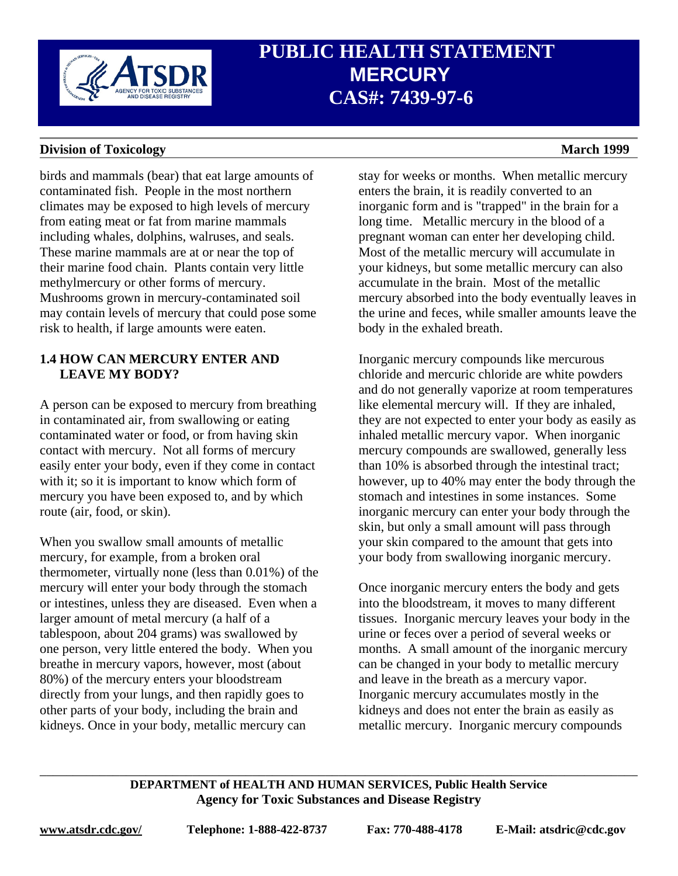

### **Division of Toxicology March 1999 March 1999**

birds and mammals (bear) that eat large amounts of contaminated fish. People in the most northern climates may be exposed to high levels of mercury from eating meat or fat from marine mammals including whales, dolphins, walruses, and seals. These marine mammals are at or near the top of their marine food chain. Plants contain very little methylmercury or other forms of mercury. Mushrooms grown in mercury-contaminated soil may contain levels of mercury that could pose some risk to health, if large amounts were eaten.

### **1.4 HOW CAN MERCURY ENTER AND LEAVE MY BODY?**

A person can be exposed to mercury from breathing in contaminated air, from swallowing or eating contaminated water or food, or from having skin contact with mercury. Not all forms of mercury easily enter your body, even if they come in contact with it; so it is important to know which form of mercury you have been exposed to, and by which route (air, food, or skin).

When you swallow small amounts of metallic mercury, for example, from a broken oral thermometer, virtually none (less than 0.01%) of the mercury will enter your body through the stomach or intestines, unless they are diseased. Even when a larger amount of metal mercury (a half of a tablespoon, about 204 grams) was swallowed by one person, very little entered the body. When you breathe in mercury vapors, however, most (about 80%) of the mercury enters your bloodstream directly from your lungs, and then rapidly goes to other parts of your body, including the brain and kidneys. Once in your body, metallic mercury can

stay for weeks or months. When metallic mercury enters the brain, it is readily converted to an inorganic form and is "trapped" in the brain for a long time. Metallic mercury in the blood of a pregnant woman can enter her developing child. Most of the metallic mercury will accumulate in your kidneys, but some metallic mercury can also accumulate in the brain. Most of the metallic mercury absorbed into the body eventually leaves in the urine and feces, while smaller amounts leave the body in the exhaled breath.

Inorganic mercury compounds like mercurous chloride and mercuric chloride are white powders and do not generally vaporize at room temperatures like elemental mercury will. If they are inhaled, they are not expected to enter your body as easily as inhaled metallic mercury vapor. When inorganic mercury compounds are swallowed, generally less than 10% is absorbed through the intestinal tract; however, up to 40% may enter the body through the stomach and intestines in some instances. Some inorganic mercury can enter your body through the skin, but only a small amount will pass through your skin compared to the amount that gets into your body from swallowing inorganic mercury.

Once inorganic mercury enters the body and gets into the bloodstream, it moves to many different tissues. Inorganic mercury leaves your body in the urine or feces over a period of several weeks or months. A small amount of the inorganic mercury can be changed in your body to metallic mercury and leave in the breath as a mercury vapor. Inorganic mercury accumulates mostly in the kidneys and does not enter the brain as easily as metallic mercury. Inorganic mercury compounds

| /www.atsdr.cdc.gov | Telephone: 1-888-422-8737 | Fax: 770-488-4178 | E-Mail: atsdric@cdc.gov |
|--------------------|---------------------------|-------------------|-------------------------|
|--------------------|---------------------------|-------------------|-------------------------|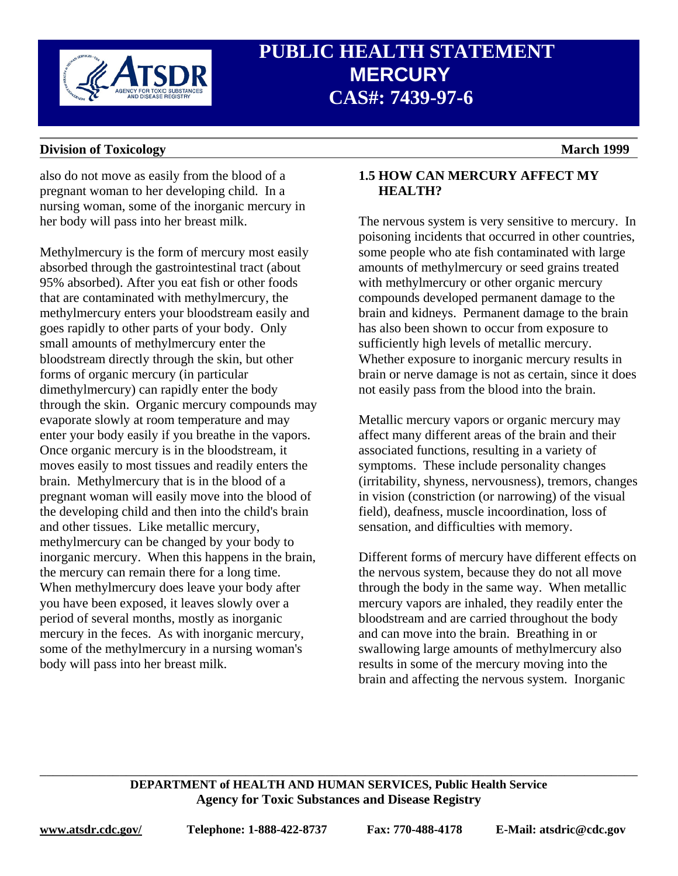

#### **Division of Toxicology March 1999**

also do not move as easily from the blood of a pregnant woman to her developing child. In a nursing woman, some of the inorganic mercury in her body will pass into her breast milk.

Methylmercury is the form of mercury most easily absorbed through the gastrointestinal tract (about 95% absorbed). After you eat fish or other foods that are contaminated with methylmercury, the methylmercury enters your bloodstream easily and goes rapidly to other parts of your body. Only small amounts of methylmercury enter the bloodstream directly through the skin, but other forms of organic mercury (in particular dimethylmercury) can rapidly enter the body through the skin. Organic mercury compounds may evaporate slowly at room temperature and may enter your body easily if you breathe in the vapors. Once organic mercury is in the bloodstream, it moves easily to most tissues and readily enters the brain. Methylmercury that is in the blood of a pregnant woman will easily move into the blood of the developing child and then into the child's brain and other tissues. Like metallic mercury, methylmercury can be changed by your body to inorganic mercury. When this happens in the brain, the mercury can remain there for a long time. When methylmercury does leave your body after you have been exposed, it leaves slowly over a period of several months, mostly as inorganic mercury in the feces. As with inorganic mercury, some of the methylmercury in a nursing woman's body will pass into her breast milk.

### **1.5 HOW CAN MERCURY AFFECT MY HEALTH?**

The nervous system is very sensitive to mercury. In poisoning incidents that occurred in other countries, some people who ate fish contaminated with large amounts of methylmercury or seed grains treated with methylmercury or other organic mercury compounds developed permanent damage to the brain and kidneys. Permanent damage to the brain has also been shown to occur from exposure to sufficiently high levels of metallic mercury. Whether exposure to inorganic mercury results in brain or nerve damage is not as certain, since it does not easily pass from the blood into the brain.

Metallic mercury vapors or organic mercury may affect many different areas of the brain and their associated functions, resulting in a variety of symptoms. These include personality changes (irritability, shyness, nervousness), tremors, changes in vision (constriction (or narrowing) of the visual field), deafness, muscle incoordination, loss of sensation, and difficulties with memory.

Different forms of mercury have different effects on the nervous system, because they do not all move through the body in the same way. When metallic mercury vapors are inhaled, they readily enter the bloodstream and are carried throughout the body and can move into the brain. Breathing in or swallowing large amounts of methylmercury also results in some of the mercury moving into the brain and affecting the nervous system. Inorganic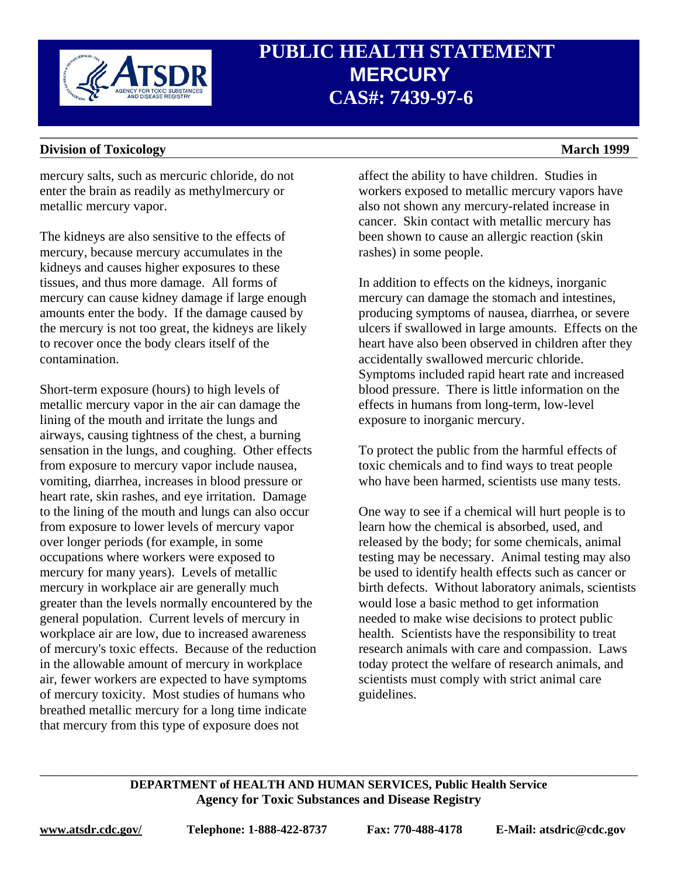

### **Division of Toxicology March 1999**

mercury salts, such as mercuric chloride, do not enter the brain as readily as methylmercury or metallic mercury vapor.

The kidneys are also sensitive to the effects of mercury, because mercury accumulates in the kidneys and causes higher exposures to these tissues, and thus more damage. All forms of mercury can cause kidney damage if large enough amounts enter the body. If the damage caused by the mercury is not too great, the kidneys are likely to recover once the body clears itself of the contamination.

Short-term exposure (hours) to high levels of metallic mercury vapor in the air can damage the lining of the mouth and irritate the lungs and airways, causing tightness of the chest, a burning sensation in the lungs, and coughing. Other effects from exposure to mercury vapor include nausea, vomiting, diarrhea, increases in blood pressure or heart rate, skin rashes, and eye irritation. Damage to the lining of the mouth and lungs can also occur from exposure to lower levels of mercury vapor over longer periods (for example, in some occupations where workers were exposed to mercury for many years). Levels of metallic mercury in workplace air are generally much greater than the levels normally encountered by the general population. Current levels of mercury in workplace air are low, due to increased awareness of mercury's toxic effects. Because of the reduction in the allowable amount of mercury in workplace air, fewer workers are expected to have symptoms of mercury toxicity. Most studies of humans who breathed metallic mercury for a long time indicate that mercury from this type of exposure does not

affect the ability to have children. Studies in workers exposed to metallic mercury vapors have also not shown any mercury-related increase in cancer. Skin contact with metallic mercury has been shown to cause an allergic reaction (skin rashes) in some people.

In addition to effects on the kidneys, inorganic mercury can damage the stomach and intestines, producing symptoms of nausea, diarrhea, or severe ulcers if swallowed in large amounts. Effects on the heart have also been observed in children after they accidentally swallowed mercuric chloride. Symptoms included rapid heart rate and increased blood pressure. There is little information on the effects in humans from long-term, low-level exposure to inorganic mercury.

To protect the public from the harmful effects of toxic chemicals and to find ways to treat people who have been harmed, scientists use many tests.

One way to see if a chemical will hurt people is to learn how the chemical is absorbed, used, and released by the body; for some chemicals, animal testing may be necessary. Animal testing may also be used to identify health effects such as cancer or birth defects. Without laboratory animals, scientists would lose a basic method to get information needed to make wise decisions to protect public health. Scientists have the responsibility to treat research animals with care and compassion. Laws today protect the welfare of research animals, and scientists must comply with strict animal care guidelines.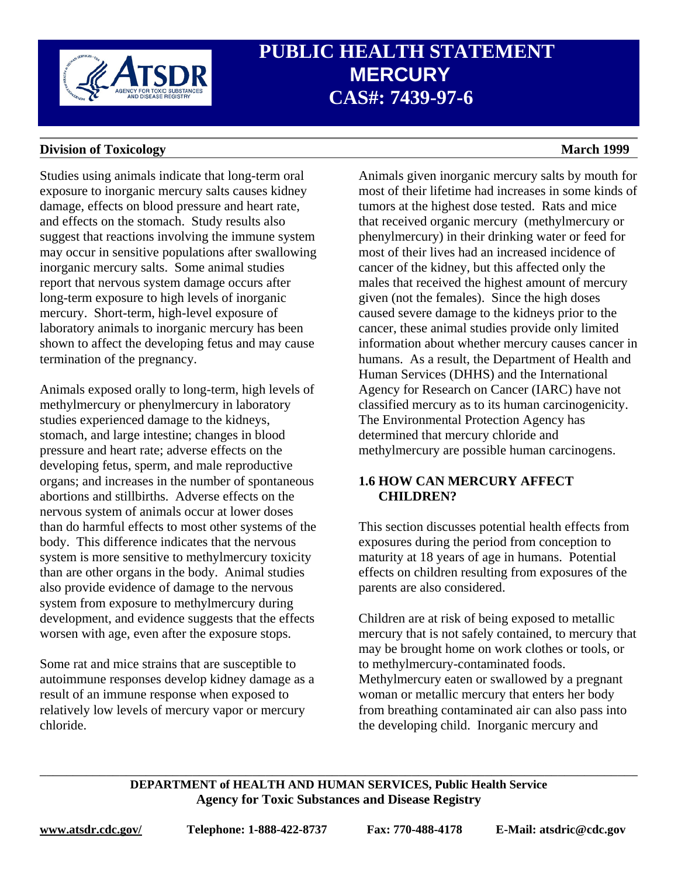

### **Division of Toxicology** March 1999 **March 1999**

Studies using animals indicate that long-term oral exposure to inorganic mercury salts causes kidney damage, effects on blood pressure and heart rate, and effects on the stomach. Study results also suggest that reactions involving the immune system may occur in sensitive populations after swallowing inorganic mercury salts. Some animal studies report that nervous system damage occurs after long-term exposure to high levels of inorganic mercury. Short-term, high-level exposure of laboratory animals to inorganic mercury has been shown to affect the developing fetus and may cause termination of the pregnancy.

Animals exposed orally to long-term, high levels of methylmercury or phenylmercury in laboratory studies experienced damage to the kidneys, stomach, and large intestine; changes in blood pressure and heart rate; adverse effects on the developing fetus, sperm, and male reproductive organs; and increases in the number of spontaneous abortions and stillbirths. Adverse effects on the nervous system of animals occur at lower doses than do harmful effects to most other systems of the body. This difference indicates that the nervous system is more sensitive to methylmercury toxicity than are other organs in the body. Animal studies also provide evidence of damage to the nervous system from exposure to methylmercury during development, and evidence suggests that the effects worsen with age, even after the exposure stops.

Some rat and mice strains that are susceptible to autoimmune responses develop kidney damage as a result of an immune response when exposed to relatively low levels of mercury vapor or mercury chloride.

Animals given inorganic mercury salts by mouth for most of their lifetime had increases in some kinds of tumors at the highest dose tested. Rats and mice that received organic mercury (methylmercury or phenylmercury) in their drinking water or feed for most of their lives had an increased incidence of cancer of the kidney, but this affected only the males that received the highest amount of mercury given (not the females). Since the high doses caused severe damage to the kidneys prior to the cancer, these animal studies provide only limited information about whether mercury causes cancer in humans. As a result, the Department of Health and Human Services (DHHS) and the International Agency for Research on Cancer (IARC) have not classified mercury as to its human carcinogenicity. The Environmental Protection Agency has determined that mercury chloride and methylmercury are possible human carcinogens.

### **1.6 HOW CAN MERCURY AFFECT CHILDREN?**

This section discusses potential health effects from exposures during the period from conception to maturity at 18 years of age in humans. Potential effects on children resulting from exposures of the parents are also considered.

Children are at risk of being exposed to metallic mercury that is not safely contained, to mercury that may be brought home on work clothes or tools, or to methylmercury-contaminated foods. Methylmercury eaten or swallowed by a pregnant woman or metallic mercury that enters her body from breathing contaminated air can also pass into the developing child. Inorganic mercury and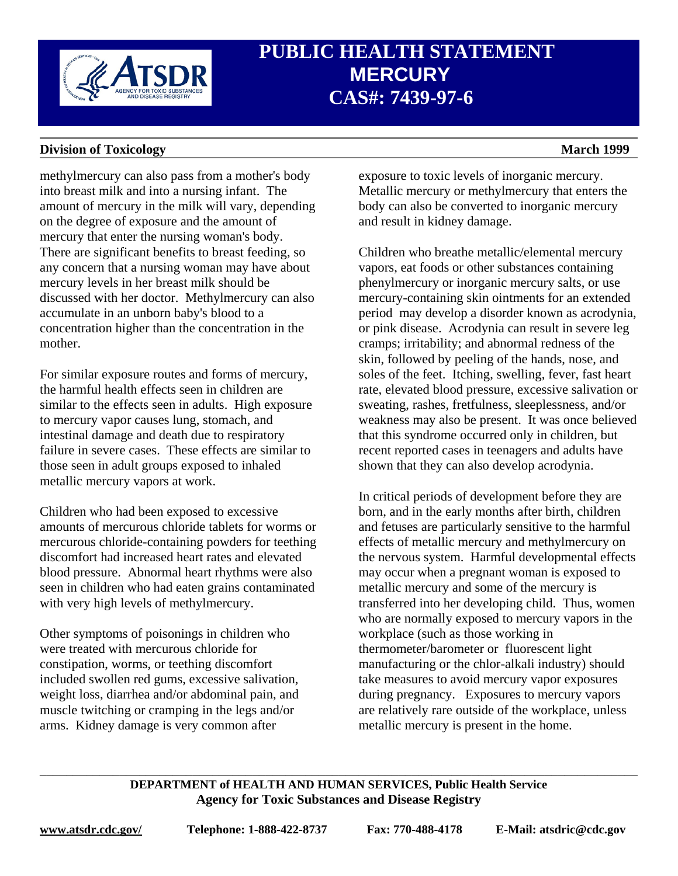

### **Division of Toxicology** March 1999 **March 1999**

methylmercury can also pass from a mother's body into breast milk and into a nursing infant. The amount of mercury in the milk will vary, depending on the degree of exposure and the amount of mercury that enter the nursing woman's body. There are significant benefits to breast feeding, so any concern that a nursing woman may have about mercury levels in her breast milk should be discussed with her doctor. Methylmercury can also accumulate in an unborn baby's blood to a concentration higher than the concentration in the mother.

For similar exposure routes and forms of mercury, the harmful health effects seen in children are similar to the effects seen in adults. High exposure to mercury vapor causes lung, stomach, and intestinal damage and death due to respiratory failure in severe cases. These effects are similar to those seen in adult groups exposed to inhaled metallic mercury vapors at work.

Children who had been exposed to excessive amounts of mercurous chloride tablets for worms or mercurous chloride-containing powders for teething discomfort had increased heart rates and elevated blood pressure. Abnormal heart rhythms were also seen in children who had eaten grains contaminated with very high levels of methylmercury.

Other symptoms of poisonings in children who were treated with mercurous chloride for constipation, worms, or teething discomfort included swollen red gums, excessive salivation, weight loss, diarrhea and/or abdominal pain, and muscle twitching or cramping in the legs and/or arms. Kidney damage is very common after

exposure to toxic levels of inorganic mercury. Metallic mercury or methylmercury that enters the body can also be converted to inorganic mercury and result in kidney damage.

Children who breathe metallic/elemental mercury vapors, eat foods or other substances containing phenylmercury or inorganic mercury salts, or use mercury-containing skin ointments for an extended period may develop a disorder known as acrodynia, or pink disease. Acrodynia can result in severe leg cramps; irritability; and abnormal redness of the skin, followed by peeling of the hands, nose, and soles of the feet. Itching, swelling, fever, fast heart rate, elevated blood pressure, excessive salivation or sweating, rashes, fretfulness, sleeplessness, and/or weakness may also be present. It was once believed that this syndrome occurred only in children, but recent reported cases in teenagers and adults have shown that they can also develop acrodynia.

In critical periods of development before they are born, and in the early months after birth, children and fetuses are particularly sensitive to the harmful effects of metallic mercury and methylmercury on the nervous system. Harmful developmental effects may occur when a pregnant woman is exposed to metallic mercury and some of the mercury is transferred into her developing child. Thus, women who are normally exposed to mercury vapors in the workplace (such as those working in thermometer/barometer or fluorescent light manufacturing or the chlor-alkali industry) should take measures to avoid mercury vapor exposures during pregnancy. Exposures to mercury vapors are relatively rare outside of the workplace, unless metallic mercury is present in the home.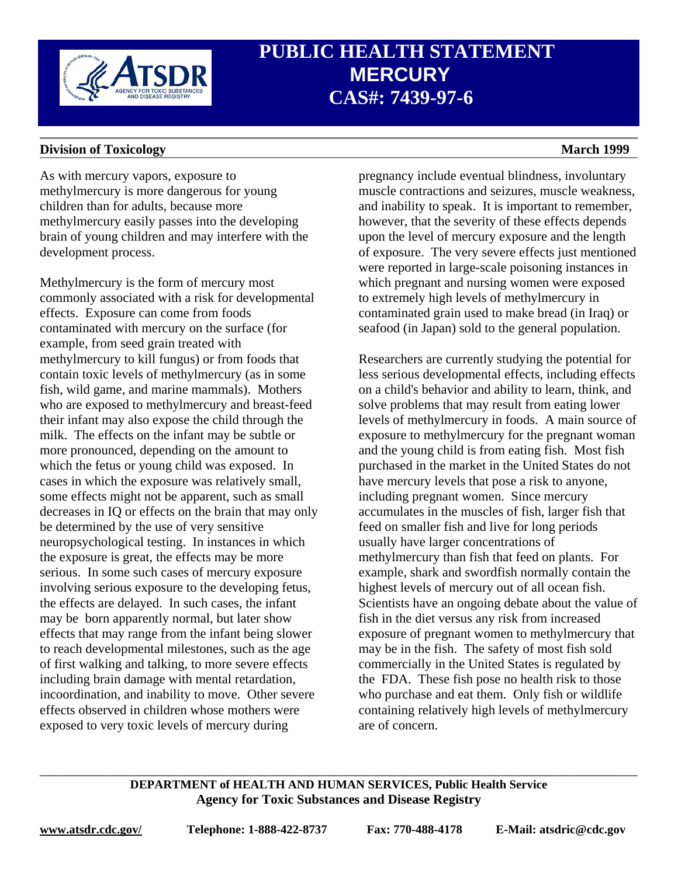

### **Division of Toxicology** March 1999 **March 1999**

As with mercury vapors, exposure to methylmercury is more dangerous for young children than for adults, because more methylmercury easily passes into the developing brain of young children and may interfere with the development process.

Methylmercury is the form of mercury most commonly associated with a risk for developmental effects. Exposure can come from foods contaminated with mercury on the surface (for example, from seed grain treated with methylmercury to kill fungus) or from foods that contain toxic levels of methylmercury (as in some fish, wild game, and marine mammals). Mothers who are exposed to methylmercury and breast-feed their infant may also expose the child through the milk. The effects on the infant may be subtle or more pronounced, depending on the amount to which the fetus or young child was exposed. In cases in which the exposure was relatively small, some effects might not be apparent, such as small decreases in IQ or effects on the brain that may only be determined by the use of very sensitive neuropsychological testing. In instances in which the exposure is great, the effects may be more serious. In some such cases of mercury exposure involving serious exposure to the developing fetus, the effects are delayed. In such cases, the infant may be born apparently normal, but later show effects that may range from the infant being slower to reach developmental milestones, such as the age of first walking and talking, to more severe effects including brain damage with mental retardation, incoordination, and inability to move. Other severe effects observed in children whose mothers were exposed to very toxic levels of mercury during

pregnancy include eventual blindness, involuntary muscle contractions and seizures, muscle weakness, and inability to speak. It is important to remember, however, that the severity of these effects depends upon the level of mercury exposure and the length of exposure. The very severe effects just mentioned were reported in large-scale poisoning instances in which pregnant and nursing women were exposed to extremely high levels of methylmercury in contaminated grain used to make bread (in Iraq) or seafood (in Japan) sold to the general population.

Researchers are currently studying the potential for less serious developmental effects, including effects on a child's behavior and ability to learn, think, and solve problems that may result from eating lower levels of methylmercury in foods. A main source of exposure to methylmercury for the pregnant woman and the young child is from eating fish. Most fish purchased in the market in the United States do not have mercury levels that pose a risk to anyone, including pregnant women. Since mercury accumulates in the muscles of fish, larger fish that feed on smaller fish and live for long periods usually have larger concentrations of methylmercury than fish that feed on plants. For example, shark and swordfish normally contain the highest levels of mercury out of all ocean fish. Scientists have an ongoing debate about the value of fish in the diet versus any risk from increased exposure of pregnant women to methylmercury that may be in the fish. The safety of most fish sold commercially in the United States is regulated by the FDA. These fish pose no health risk to those who purchase and eat them. Only fish or wildlife containing relatively high levels of methylmercury are of concern.

**DEPARTMENT of HEALTH AND HUMAN SERVICES, Public Health Service Agency for Toxic Substances and Disease Registry** 

| /www.atsdr.cdc.gov | Telephone: 1-888-422-8737 | Fax: 770-488-4178 | E-Mail: atsdric@cdc.gov |
|--------------------|---------------------------|-------------------|-------------------------|
|--------------------|---------------------------|-------------------|-------------------------|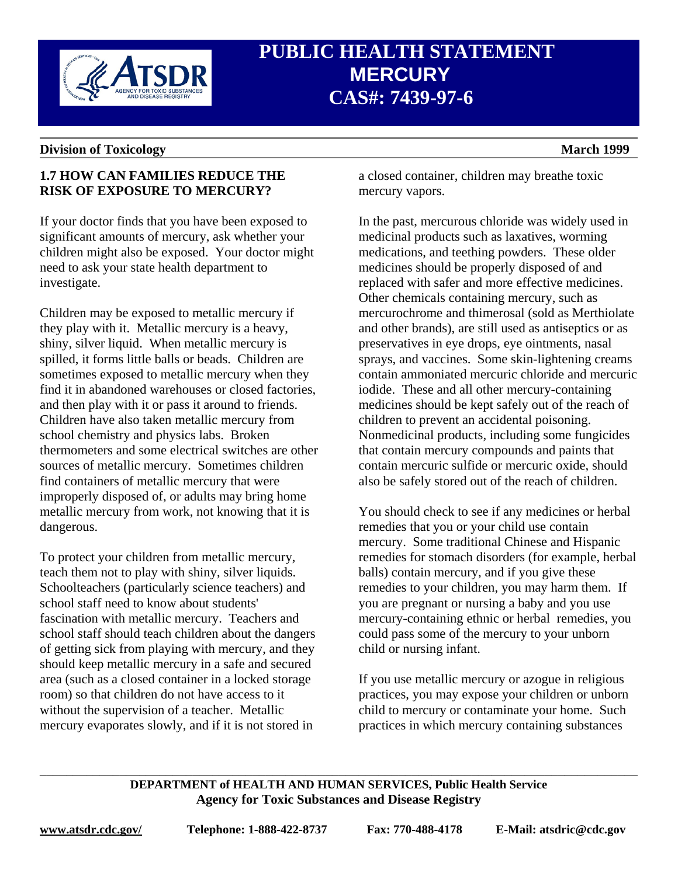

### **Division of Toxicology March 1999**

### **1.7 HOW CAN FAMILIES REDUCE THE RISK OF EXPOSURE TO MERCURY?**

If your doctor finds that you have been exposed to significant amounts of mercury, ask whether your children might also be exposed. Your doctor might need to ask your state health department to investigate.

Children may be exposed to metallic mercury if they play with it. Metallic mercury is a heavy, shiny, silver liquid. When metallic mercury is spilled, it forms little balls or beads. Children are sometimes exposed to metallic mercury when they find it in abandoned warehouses or closed factories, and then play with it or pass it around to friends. Children have also taken metallic mercury from school chemistry and physics labs. Broken thermometers and some electrical switches are other sources of metallic mercury. Sometimes children find containers of metallic mercury that were improperly disposed of, or adults may bring home metallic mercury from work, not knowing that it is dangerous.

To protect your children from metallic mercury, teach them not to play with shiny, silver liquids. Schoolteachers (particularly science teachers) and school staff need to know about students' fascination with metallic mercury. Teachers and school staff should teach children about the dangers of getting sick from playing with mercury, and they should keep metallic mercury in a safe and secured area (such as a closed container in a locked storage room) so that children do not have access to it without the supervision of a teacher. Metallic mercury evaporates slowly, and if it is not stored in

a closed container, children may breathe toxic mercury vapors.

In the past, mercurous chloride was widely used in medicinal products such as laxatives, worming medications, and teething powders. These older medicines should be properly disposed of and replaced with safer and more effective medicines. Other chemicals containing mercury, such as mercurochrome and thimerosal (sold as Merthiolate and other brands), are still used as antiseptics or as preservatives in eye drops, eye ointments, nasal sprays, and vaccines. Some skin-lightening creams contain ammoniated mercuric chloride and mercuric iodide. These and all other mercury-containing medicines should be kept safely out of the reach of children to prevent an accidental poisoning. Nonmedicinal products, including some fungicides that contain mercury compounds and paints that contain mercuric sulfide or mercuric oxide, should also be safely stored out of the reach of children.

You should check to see if any medicines or herbal remedies that you or your child use contain mercury. Some traditional Chinese and Hispanic remedies for stomach disorders (for example, herbal balls) contain mercury, and if you give these remedies to your children, you may harm them. If you are pregnant or nursing a baby and you use mercury-containing ethnic or herbal remedies, you could pass some of the mercury to your unborn child or nursing infant.

If you use metallic mercury or azogue in religious practices, you may expose your children or unborn child to mercury or contaminate your home. Such practices in which mercury containing substances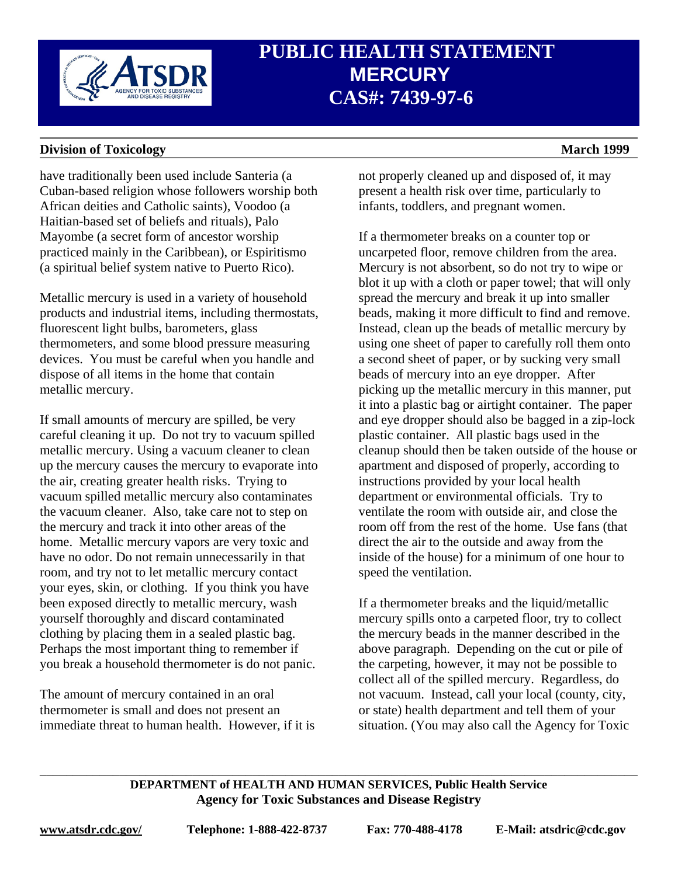

### **Division of Toxicology** March 1999 **March 1999**

have traditionally been used include Santeria (a Cuban-based religion whose followers worship both African deities and Catholic saints), Voodoo (a Haitian-based set of beliefs and rituals), Palo Mayombe (a secret form of ancestor worship practiced mainly in the Caribbean), or Espiritismo (a spiritual belief system native to Puerto Rico).

Metallic mercury is used in a variety of household products and industrial items, including thermostats, fluorescent light bulbs, barometers, glass thermometers, and some blood pressure measuring devices. You must be careful when you handle and dispose of all items in the home that contain metallic mercury.

clothing by placing them in a sealed plastic bag. If small amounts of mercury are spilled, be very careful cleaning it up. Do not try to vacuum spilled metallic mercury. Using a vacuum cleaner to clean up the mercury causes the mercury to evaporate into the air, creating greater health risks. Trying to vacuum spilled metallic mercury also contaminates the vacuum cleaner. Also, take care not to step on the mercury and track it into other areas of the home. Metallic mercury vapors are very toxic and have no odor. Do not remain unnecessarily in that room, and try not to let metallic mercury contact your eyes, skin, or clothing. If you think you have been exposed directly to metallic mercury, wash yourself thoroughly and discard contaminated Perhaps the most important thing to remember if you break a household thermometer is do not panic.

The amount of mercury contained in an oral thermometer is small and does not present an immediate threat to human health. However, if it is not properly cleaned up and disposed of, it may present a health risk over time, particularly to infants, toddlers, and pregnant women.

If a thermometer breaks on a counter top or uncarpeted floor, remove children from the area. Mercury is not absorbent, so do not try to wipe or blot it up with a cloth or paper towel; that will only spread the mercury and break it up into smaller beads, making it more difficult to find and remove. Instead, clean up the beads of metallic mercury by using one sheet of paper to carefully roll them onto a second sheet of paper, or by sucking very small beads of mercury into an eye dropper. After picking up the metallic mercury in this manner, put it into a plastic bag or airtight container. The paper and eye dropper should also be bagged in a zip-lock plastic container. All plastic bags used in the cleanup should then be taken outside of the house or apartment and disposed of properly, according to instructions provided by your local health department or environmental officials. Try to ventilate the room with outside air, and close the room off from the rest of the home. Use fans (that direct the air to the outside and away from the inside of the house) for a minimum of one hour to speed the ventilation.

If a thermometer breaks and the liquid/metallic mercury spills onto a carpeted floor, try to collect the mercury beads in the manner described in the above paragraph. Depending on the cut or pile of the carpeting, however, it may not be possible to collect all of the spilled mercury. Regardless, do not vacuum. Instead, call your local (county, city, or state) health department and tell them of your situation. (You may also call the Agency for Toxic

**DEPARTMENT of HEALTH AND HUMAN SERVICES, Public Health Service Agency for Toxic Substances and Disease Registry**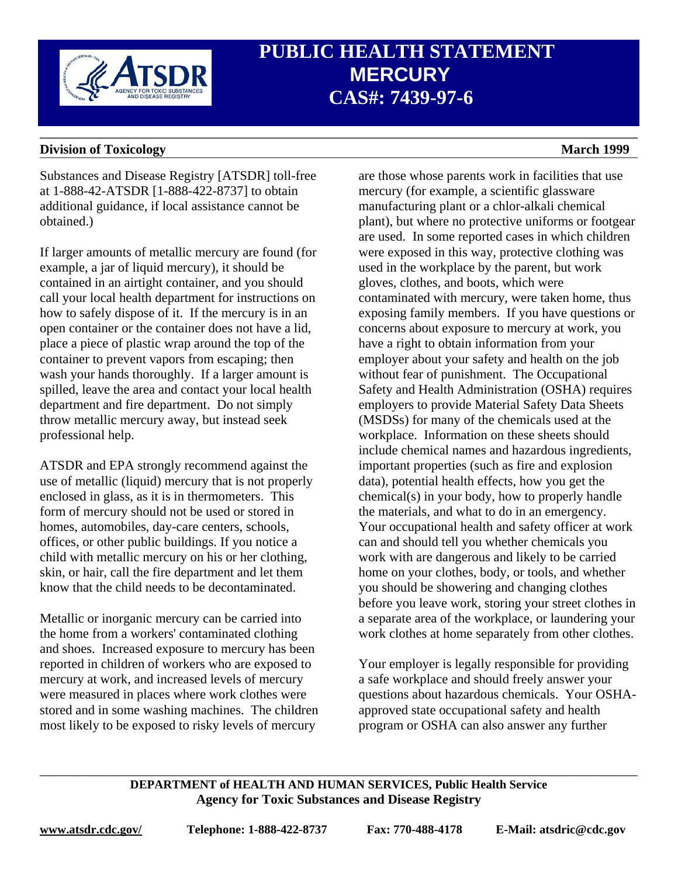

### **Division of Toxicology March 1999**

Substances and Disease Registry [ATSDR] toll-free at 1-888-42-ATSDR [1-888-422-8737] to obtain additional guidance, if local assistance cannot be obtained.)

If larger amounts of metallic mercury are found (for example, a jar of liquid mercury), it should be contained in an airtight container, and you should call your local health department for instructions on how to safely dispose of it. If the mercury is in an open container or the container does not have a lid, place a piece of plastic wrap around the top of the container to prevent vapors from escaping; then wash your hands thoroughly. If a larger amount is spilled, leave the area and contact your local health department and fire department. Do not simply throw metallic mercury away, but instead seek professional help.

ATSDR and EPA strongly recommend against the use of metallic (liquid) mercury that is not properly enclosed in glass, as it is in thermometers. This form of mercury should not be used or stored in homes, automobiles, day-care centers, schools, offices, or other public buildings. If you notice a child with metallic mercury on his or her clothing, skin, or hair, call the fire department and let them know that the child needs to be decontaminated.

Metallic or inorganic mercury can be carried into the home from a workers' contaminated clothing and shoes. Increased exposure to mercury has been reported in children of workers who are exposed to mercury at work, and increased levels of mercury were measured in places where work clothes were stored and in some washing machines. The children most likely to be exposed to risky levels of mercury

are those whose parents work in facilities that use mercury (for example, a scientific glassware manufacturing plant or a chlor-alkali chemical plant), but where no protective uniforms or footgear are used. In some reported cases in which children were exposed in this way, protective clothing was used in the workplace by the parent, but work gloves, clothes, and boots, which were contaminated with mercury, were taken home, thus exposing family members. If you have questions or concerns about exposure to mercury at work, you have a right to obtain information from your employer about your safety and health on the job without fear of punishment. The Occupational Safety and Health Administration (OSHA) requires employers to provide Material Safety Data Sheets (MSDSs) for many of the chemicals used at the workplace. Information on these sheets should include chemical names and hazardous ingredients, important properties (such as fire and explosion data), potential health effects, how you get the chemical(s) in your body, how to properly handle the materials, and what to do in an emergency. Your occupational health and safety officer at work can and should tell you whether chemicals you work with are dangerous and likely to be carried home on your clothes, body, or tools, and whether you should be showering and changing clothes before you leave work, storing your street clothes in a separate area of the workplace, or laundering your work clothes at home separately from other clothes.

Your employer is legally responsible for providing a safe workplace and should freely answer your questions about hazardous chemicals. Your OSHAapproved state occupational safety and health program or OSHA can also answer any further

| /www.atsdr.cdc.gov | Telephone: 1-888-422-8737 | Fax: 770-488-4178<br>E-Mail: atsdric@cdc.gov |
|--------------------|---------------------------|----------------------------------------------|
|--------------------|---------------------------|----------------------------------------------|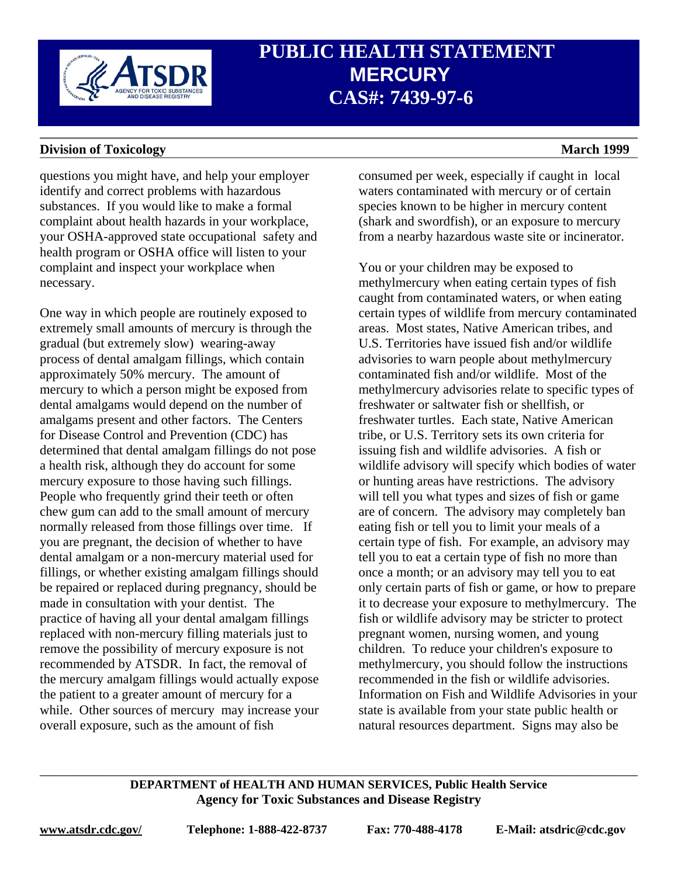

### **Division of Toxicology March 1999**

questions you might have, and help your employer identify and correct problems with hazardous substances. If you would like to make a formal complaint about health hazards in your workplace, your OSHA-approved state occupational safety and health program or OSHA office will listen to your complaint and inspect your workplace when necessary.

One way in which people are routinely exposed to extremely small amounts of mercury is through the gradual (but extremely slow) wearing-away process of dental amalgam fillings, which contain approximately 50% mercury. The amount of mercury to which a person might be exposed from dental amalgams would depend on the number of amalgams present and other factors. The Centers for Disease Control and Prevention (CDC) has determined that dental amalgam fillings do not pose a health risk, although they do account for some mercury exposure to those having such fillings. People who frequently grind their teeth or often chew gum can add to the small amount of mercury normally released from those fillings over time. If you are pregnant, the decision of whether to have dental amalgam or a non-mercury material used for fillings, or whether existing amalgam fillings should be repaired or replaced during pregnancy, should be made in consultation with your dentist. The practice of having all your dental amalgam fillings replaced with non-mercury filling materials just to remove the possibility of mercury exposure is not recommended by ATSDR. In fact, the removal of the mercury amalgam fillings would actually expose the patient to a greater amount of mercury for a while. Other sources of mercury may increase your overall exposure, such as the amount of fish

consumed per week, especially if caught in local waters contaminated with mercury or of certain species known to be higher in mercury content (shark and swordfish), or an exposure to mercury from a nearby hazardous waste site or incinerator.

You or your children may be exposed to methylmercury when eating certain types of fish caught from contaminated waters, or when eating certain types of wildlife from mercury contaminated areas. Most states, Native American tribes, and U.S. Territories have issued fish and/or wildlife advisories to warn people about methylmercury contaminated fish and/or wildlife. Most of the methylmercury advisories relate to specific types of freshwater or saltwater fish or shellfish, or freshwater turtles. Each state, Native American tribe, or U.S. Territory sets its own criteria for issuing fish and wildlife advisories. A fish or wildlife advisory will specify which bodies of water or hunting areas have restrictions. The advisory will tell you what types and sizes of fish or game are of concern. The advisory may completely ban eating fish or tell you to limit your meals of a certain type of fish. For example, an advisory may tell you to eat a certain type of fish no more than once a month; or an advisory may tell you to eat only certain parts of fish or game, or how to prepare it to decrease your exposure to methylmercury. The fish or wildlife advisory may be stricter to protect pregnant women, nursing women, and young children. To reduce your children's exposure to methylmercury, you should follow the instructions recommended in the fish or wildlife advisories. Information on Fish and Wildlife Advisories in your state is available from your state public health or natural resources department. Signs may also be

**DEPARTMENT of HEALTH AND HUMAN SERVICES, Public Health Service Agency for Toxic Substances and Disease Registry**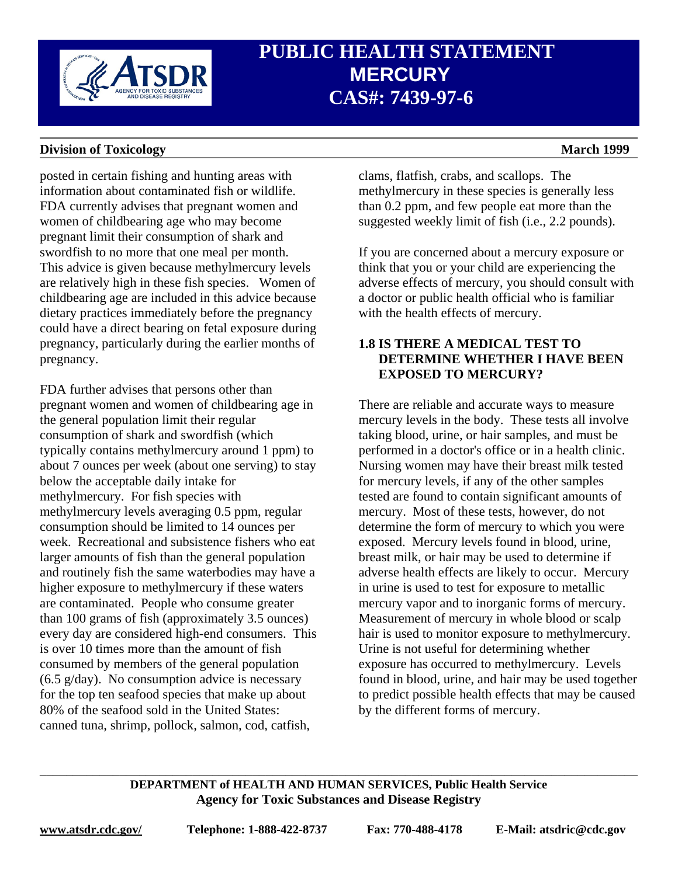

### **Division of Toxicology** March 1999 **March 1999**

posted in certain fishing and hunting areas with information about contaminated fish or wildlife. FDA currently advises that pregnant women and women of childbearing age who may become pregnant limit their consumption of shark and swordfish to no more that one meal per month. This advice is given because methylmercury levels are relatively high in these fish species. Women of childbearing age are included in this advice because dietary practices immediately before the pregnancy could have a direct bearing on fetal exposure during pregnancy, particularly during the earlier months of pregnancy.

FDA further advises that persons other than pregnant women and women of childbearing age in the general population limit their regular consumption of shark and swordfish (which typically contains methylmercury around 1 ppm) to about 7 ounces per week (about one serving) to stay below the acceptable daily intake for methylmercury. For fish species with methylmercury levels averaging 0.5 ppm, regular consumption should be limited to 14 ounces per week. Recreational and subsistence fishers who eat larger amounts of fish than the general population and routinely fish the same waterbodies may have a higher exposure to methylmercury if these waters are contaminated. People who consume greater than 100 grams of fish (approximately 3.5 ounces) every day are considered high-end consumers. This is over 10 times more than the amount of fish consumed by members of the general population (6.5 g/day). No consumption advice is necessary for the top ten seafood species that make up about 80% of the seafood sold in the United States: canned tuna, shrimp, pollock, salmon, cod, catfish,

clams, flatfish, crabs, and scallops. The methylmercury in these species is generally less than 0.2 ppm, and few people eat more than the suggested weekly limit of fish (i.e., 2.2 pounds).

If you are concerned about a mercury exposure or think that you or your child are experiencing the adverse effects of mercury, you should consult with a doctor or public health official who is familiar with the health effects of mercury.

### **1.8 IS THERE A MEDICAL TEST TO DETERMINE WHETHER I HAVE BEEN EXPOSED TO MERCURY?**

There are reliable and accurate ways to measure mercury levels in the body. These tests all involve taking blood, urine, or hair samples, and must be performed in a doctor's office or in a health clinic. Nursing women may have their breast milk tested for mercury levels, if any of the other samples tested are found to contain significant amounts of mercury. Most of these tests, however, do not determine the form of mercury to which you were exposed. Mercury levels found in blood, urine, breast milk, or hair may be used to determine if adverse health effects are likely to occur. Mercury in urine is used to test for exposure to metallic mercury vapor and to inorganic forms of mercury. Measurement of mercury in whole blood or scalp hair is used to monitor exposure to methylmercury. Urine is not useful for determining whether exposure has occurred to methylmercury. Levels found in blood, urine, and hair may be used together to predict possible health effects that may be caused by the different forms of mercury.

### **DEPARTMENT of HEALTH AND HUMAN SERVICES, Public Health Service Agency for Toxic Substances and Disease Registry**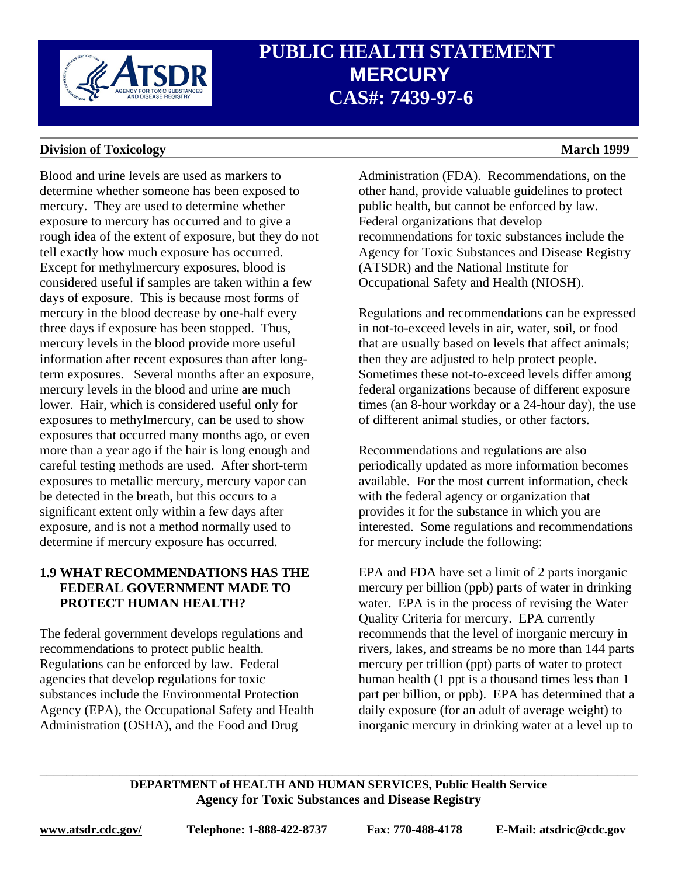

### **Division of Toxicology March 1999**

Blood and urine levels are used as markers to determine whether someone has been exposed to mercury. They are used to determine whether exposure to mercury has occurred and to give a rough idea of the extent of exposure, but they do not tell exactly how much exposure has occurred. Except for methylmercury exposures, blood is considered useful if samples are taken within a few days of exposure. This is because most forms of mercury in the blood decrease by one-half every three days if exposure has been stopped. Thus, mercury levels in the blood provide more useful information after recent exposures than after longterm exposures. Several months after an exposure, mercury levels in the blood and urine are much lower. Hair, which is considered useful only for exposures to methylmercury, can be used to show exposures that occurred many months ago, or even more than a year ago if the hair is long enough and careful testing methods are used. After short-term exposures to metallic mercury, mercury vapor can be detected in the breath, but this occurs to a significant extent only within a few days after exposure, and is not a method normally used to determine if mercury exposure has occurred.

### **1.9 WHAT RECOMMENDATIONS HAS THE FEDERAL GOVERNMENT MADE TO PROTECT HUMAN HEALTH?**

The federal government develops regulations and recommendations to protect public health. Regulations can be enforced by law. Federal agencies that develop regulations for toxic substances include the Environmental Protection Agency (EPA), the Occupational Safety and Health Administration (OSHA), and the Food and Drug

Administration (FDA). Recommendations, on the other hand, provide valuable guidelines to protect public health, but cannot be enforced by law. Federal organizations that develop recommendations for toxic substances include the Agency for Toxic Substances and Disease Registry (ATSDR) and the National Institute for Occupational Safety and Health (NIOSH).

Regulations and recommendations can be expressed in not-to-exceed levels in air, water, soil, or food that are usually based on levels that affect animals; then they are adjusted to help protect people. Sometimes these not-to-exceed levels differ among federal organizations because of different exposure times (an 8-hour workday or a 24-hour day), the use of different animal studies, or other factors.

Recommendations and regulations are also periodically updated as more information becomes available. For the most current information, check with the federal agency or organization that provides it for the substance in which you are interested. Some regulations and recommendations for mercury include the following:

EPA and FDA have set a limit of 2 parts inorganic mercury per billion (ppb) parts of water in drinking water. EPA is in the process of revising the Water Quality Criteria for mercury. EPA currently recommends that the level of inorganic mercury in rivers, lakes, and streams be no more than 144 parts mercury per trillion (ppt) parts of water to protect human health (1 ppt is a thousand times less than 1 part per billion, or ppb). EPA has determined that a daily exposure (for an adult of average weight) to inorganic mercury in drinking water at a level up to

**DEPARTMENT of HEALTH AND HUMAN SERVICES, Public Health Service Agency for Toxic Substances and Disease Registry**